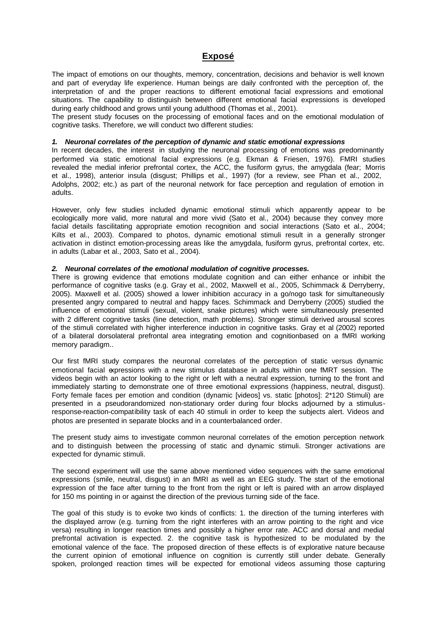## **Exposé**

The impact of emotions on our thoughts, memory, concentration, decisions and behavior is well known and part of everyday life experience. Human beings are daily confronted with the perception of, the interpretation of and the proper reactions to different emotional facial expressions and emotional situations. The capability to distinguish between different emotional facial expressions is developed during early childhood and grows until young adulthood (Thomas et al., 2001).

The present study focuses on the processing of emotional faces and on the emotional modulation of cognitive tasks. Therefore, we will conduct two different studies:

## *1. Neuronal correlates of the perception of dynamic and static emotional expressions*

In recent decades, the interest in studying the neuronal processing of emotions was predominantly performed via static emotional facial expressions (e.g. Ekman & Friesen, 1976). FMRI studies revealed the medial inferior prefrontal cortex, the ACC, the fusiform gyrus, the amygdala (fear; Morris et al., 1998), anterior insula (disgust; Phillips et al., 1997) (for a review, see Phan et al., 2002, Adolphs, 2002; etc.) as part of the neuronal network for face perception and regulation of emotion in adults.

However, only few studies included dynamic emotional stimuli which apparently appear to be ecologically more valid, more natural and more vivid (Sato et al., 2004) because they convey more facial details fascilitating appropriate emotion recognition and social interactions (Sato et al., 2004; Kilts et al., 2003). Compared to photos, dynamic emotional stimuli result in a generally stronger activation in distinct emotion-processing areas like the amygdala, fusiform gyrus, prefrontal cortex, etc. in adults (Labar et al., 2003, Sato et al., 2004).

## *2. Neuronal correlates of the emotional modulation of cognitive processes.*

There is growing evidence that emotions modulate cognition and can either enhance or inhibit the performance of cognitive tasks (e.g. Gray et al., 2002, Maxwell et al., 2005, Schimmack & Derryberry, 2005). Maxwell et al. (2005) showed a lower inhibition accuracy in a go/nogo task for simultaneously presented angry compared to neutral and happy faces. Schimmack and Derryberry (2005) studied the influence of emotional stimuli (sexual, violent, snake pictures) which were simultaneously presented with 2 different cognitive tasks (line detection, math problems). Stronger stimuli derived arousal scores of the stimuli correlated with higher interference induction in cognitive tasks. Gray et al (2002) reported of a bilateral dorsolateral prefrontal area integrating emotion and cognitionbased on a fMRI working memory paradigm..

Our first fMRI study compares the neuronal correlates of the perception of static versus dynamic emotional facial expressions with a new stimulus database in adults within one fMRT session. The videos begin with an actor looking to the right or left with a neutral expression, turning to the front and immediately starting to demonstrate one of three emotional expressions (happiness, neutral, disgust). Forty female faces per emotion and condition (dynamic [videos] vs. static [photos]: 2\*120 Stimuli) are presented in a pseudorandomized non-stationary order during four blocks adjourned by a stimulusresponse-reaction-compatibility task of each 40 stimuli in order to keep the subjects alert. Videos and photos are presented in separate blocks and in a counterbalanced order.

The present study aims to investigate common neuronal correlates of the emotion perception network and to distinguish between the processing of static and dynamic stimuli. Stronger activations are expected for dynamic stimuli.

The second experiment will use the same above mentioned video sequences with the same emotional expressions (smile, neutral, disgust) in an fMRI as well as an EEG study. The start of the emotional expression of the face after turning to the front from the right or left is paired with an arrow displayed for 150 ms pointing in or against the direction of the previous turning side of the face.

The goal of this study is to evoke two kinds of conflicts: 1. the direction of the turning interferes with the displayed arrow (e.g. turning from the right interferes with an arrow pointing to the right and vice versa) resulting in longer reaction times and possibly a higher error rate. ACC and dorsal and medial prefrontal activation is expected. 2. the cognitive task is hypothesized to be modulated by the emotional valence of the face. The proposed direction of these effects is of explorative nature because the current opinion of emotional influence on cognition is currently still under debate. Generally spoken, prolonged reaction times will be expected for emotional videos assuming those capturing